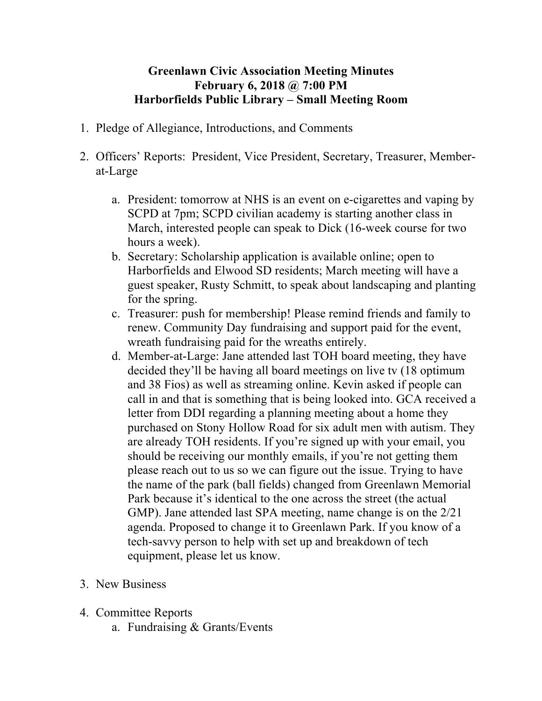## **Greenlawn Civic Association Meeting Minutes February 6, 2018 @ 7:00 PM Harborfields Public Library – Small Meeting Room**

- 1. Pledge of Allegiance, Introductions, and Comments
- 2. Officers' Reports: President, Vice President, Secretary, Treasurer, Memberat-Large
	- a. President: tomorrow at NHS is an event on e-cigarettes and vaping by SCPD at 7pm; SCPD civilian academy is starting another class in March, interested people can speak to Dick (16-week course for two hours a week).
	- b. Secretary: Scholarship application is available online; open to Harborfields and Elwood SD residents; March meeting will have a guest speaker, Rusty Schmitt, to speak about landscaping and planting for the spring.
	- c. Treasurer: push for membership! Please remind friends and family to renew. Community Day fundraising and support paid for the event, wreath fundraising paid for the wreaths entirely.
	- d. Member-at-Large: Jane attended last TOH board meeting, they have decided they'll be having all board meetings on live tv (18 optimum and 38 Fios) as well as streaming online. Kevin asked if people can call in and that is something that is being looked into. GCA received a letter from DDI regarding a planning meeting about a home they purchased on Stony Hollow Road for six adult men with autism. They are already TOH residents. If you're signed up with your email, you should be receiving our monthly emails, if you're not getting them please reach out to us so we can figure out the issue. Trying to have the name of the park (ball fields) changed from Greenlawn Memorial Park because it's identical to the one across the street (the actual GMP). Jane attended last SPA meeting, name change is on the 2/21 agenda. Proposed to change it to Greenlawn Park. If you know of a tech-savvy person to help with set up and breakdown of tech equipment, please let us know.
- 3. New Business
- 4. Committee Reports
	- a. Fundraising & Grants/Events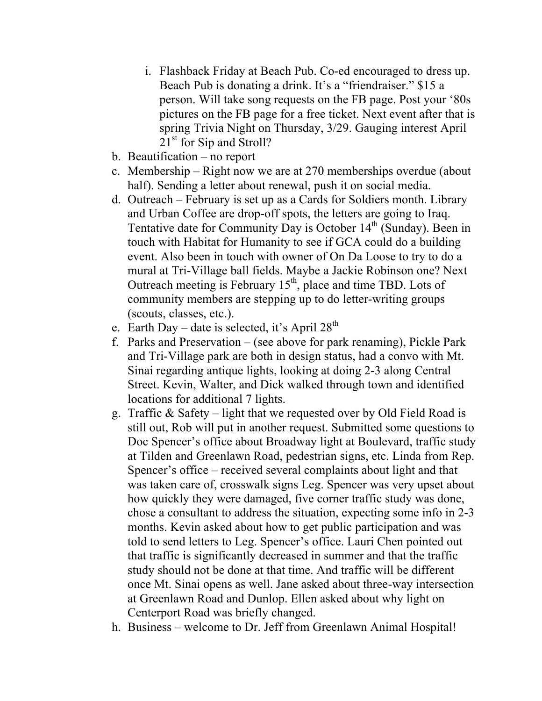- i. Flashback Friday at Beach Pub. Co-ed encouraged to dress up. Beach Pub is donating a drink. It's a "friendraiser." \$15 a person. Will take song requests on the FB page. Post your '80s pictures on the FB page for a free ticket. Next event after that is spring Trivia Night on Thursday, 3/29. Gauging interest April 21<sup>st</sup> for Sip and Stroll?
- b. Beautification no report
- c. Membership Right now we are at 270 memberships overdue (about half). Sending a letter about renewal, push it on social media.
- d. Outreach February is set up as a Cards for Soldiers month. Library and Urban Coffee are drop-off spots, the letters are going to Iraq. Tentative date for Community Day is October 14<sup>th</sup> (Sunday). Been in touch with Habitat for Humanity to see if GCA could do a building event. Also been in touch with owner of On Da Loose to try to do a mural at Tri-Village ball fields. Maybe a Jackie Robinson one? Next Outreach meeting is February  $15<sup>th</sup>$ , place and time TBD. Lots of community members are stepping up to do letter-writing groups (scouts, classes, etc.).
- e. Earth Day date is selected, it's April  $28<sup>th</sup>$
- f. Parks and Preservation (see above for park renaming), Pickle Park and Tri-Village park are both in design status, had a convo with Mt. Sinai regarding antique lights, looking at doing 2-3 along Central Street. Kevin, Walter, and Dick walked through town and identified locations for additional 7 lights.
- g. Traffic & Safety light that we requested over by Old Field Road is still out, Rob will put in another request. Submitted some questions to Doc Spencer's office about Broadway light at Boulevard, traffic study at Tilden and Greenlawn Road, pedestrian signs, etc. Linda from Rep. Spencer's office – received several complaints about light and that was taken care of, crosswalk signs Leg. Spencer was very upset about how quickly they were damaged, five corner traffic study was done, chose a consultant to address the situation, expecting some info in 2-3 months. Kevin asked about how to get public participation and was told to send letters to Leg. Spencer's office. Lauri Chen pointed out that traffic is significantly decreased in summer and that the traffic study should not be done at that time. And traffic will be different once Mt. Sinai opens as well. Jane asked about three-way intersection at Greenlawn Road and Dunlop. Ellen asked about why light on Centerport Road was briefly changed.
- h. Business welcome to Dr. Jeff from Greenlawn Animal Hospital!